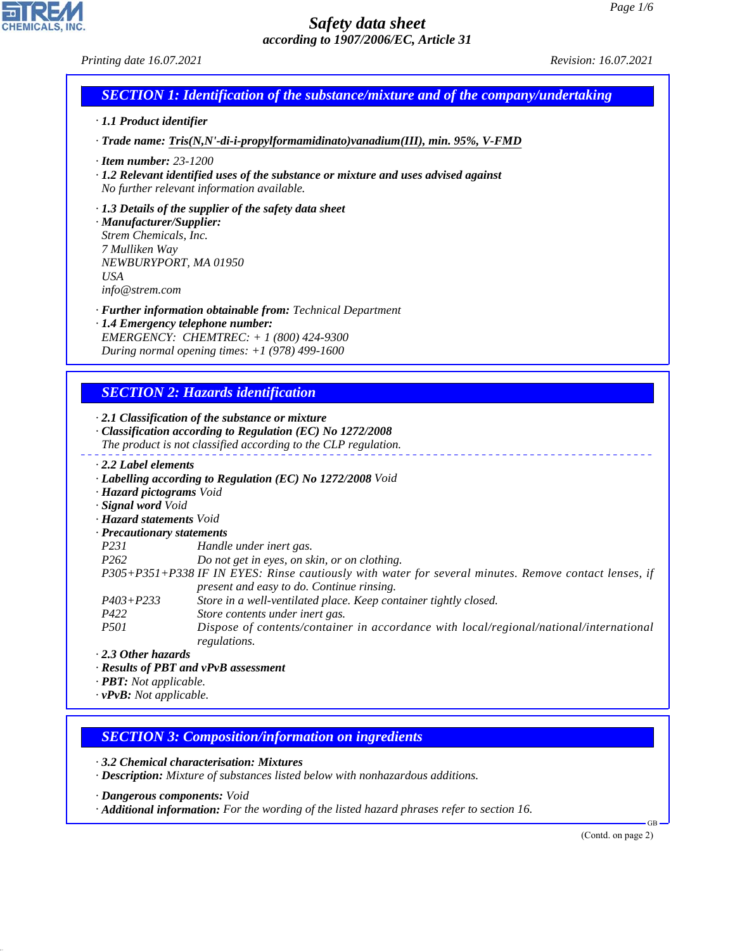#### *Printing date 16.07.2021 Revision: 16.07.2021*

| <b>SECTION 1: Identification of the substance/mixture and of the company/undertaking</b> |  |
|------------------------------------------------------------------------------------------|--|
|                                                                                          |  |

#### *· 1.1 Product identifier*

*· Trade name: Tris(N,N'-di-i-propylformamidinato)vanadium(III), min. 95%, V-FMD*

- *· Item number: 23-1200*
- *· 1.2 Relevant identified uses of the substance or mixture and uses advised against No further relevant information available.*

#### *· 1.3 Details of the supplier of the safety data sheet*

*· Manufacturer/Supplier: Strem Chemicals, Inc. 7 Mulliken Way NEWBURYPORT, MA 01950 USA info@strem.com*

*· Further information obtainable from: Technical Department*

*· 1.4 Emergency telephone number: EMERGENCY: CHEMTREC: + 1 (800) 424-9300 During normal opening times: +1 (978) 499-1600*

# *SECTION 2: Hazards identification*

*· 2.1 Classification of the substance or mixture*

- *· Classification according to Regulation (EC) No 1272/2008 The product is not classified according to the CLP regulation.*
- *· 2.2 Label elements*
- *· Labelling according to Regulation (EC) No 1272/2008 Void*
- *· Hazard pictograms Void*
- *· Signal word Void*
- *· Hazard statements Void*
- *· Precautionary statements*
- *P231 Handle under inert gas.*
- *P262 Do not get in eyes, on skin, or on clothing.*
- *P305+P351+P338 IF IN EYES: Rinse cautiously with water for several minutes. Remove contact lenses, if present and easy to do. Continue rinsing.*
- *P403+P233 Store in a well-ventilated place. Keep container tightly closed.*
- *P422 Store contents under inert gas.*
- *P501 Dispose of contents/container in accordance with local/regional/national/international regulations.*

*· 2.3 Other hazards*

44.1.1

- *· Results of PBT and vPvB assessment*
- *· PBT: Not applicable.*
- *· vPvB: Not applicable.*

# *SECTION 3: Composition/information on ingredients*

*· 3.2 Chemical characterisation: Mixtures*

*· Description: Mixture of substances listed below with nonhazardous additions.*

- *· Dangerous components: Void*
- *· Additional information: For the wording of the listed hazard phrases refer to section 16.*

(Contd. on page 2)

GB

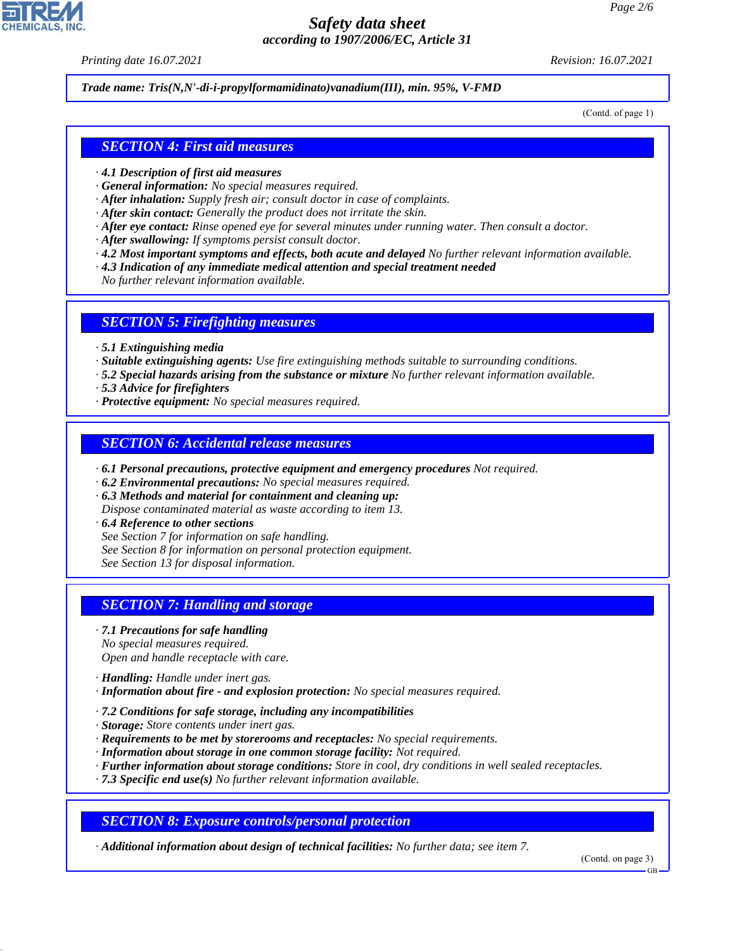*Printing date 16.07.2021 Revision: 16.07.2021*

*Trade name: Tris(N,N'-di-i-propylformamidinato)vanadium(III), min. 95%, V-FMD*

(Contd. of page 1)

#### *SECTION 4: First aid measures*

- *· 4.1 Description of first aid measures*
- *· General information: No special measures required.*
- *· After inhalation: Supply fresh air; consult doctor in case of complaints.*
- *· After skin contact: Generally the product does not irritate the skin.*
- *· After eye contact: Rinse opened eye for several minutes under running water. Then consult a doctor.*
- *· After swallowing: If symptoms persist consult doctor.*
- *· 4.2 Most important symptoms and effects, both acute and delayed No further relevant information available.*
- *· 4.3 Indication of any immediate medical attention and special treatment needed*

*No further relevant information available.*

#### *SECTION 5: Firefighting measures*

- *· 5.1 Extinguishing media*
- *· Suitable extinguishing agents: Use fire extinguishing methods suitable to surrounding conditions.*
- *· 5.2 Special hazards arising from the substance or mixture No further relevant information available.*
- *· 5.3 Advice for firefighters*
- *· Protective equipment: No special measures required.*

#### *SECTION 6: Accidental release measures*

- *· 6.1 Personal precautions, protective equipment and emergency procedures Not required.*
- *· 6.2 Environmental precautions: No special measures required.*
- *· 6.3 Methods and material for containment and cleaning up:*
- *Dispose contaminated material as waste according to item 13.*
- *· 6.4 Reference to other sections*
- *See Section 7 for information on safe handling.*
- *See Section 8 for information on personal protection equipment.*
- *See Section 13 for disposal information.*

## *SECTION 7: Handling and storage*

- *· 7.1 Precautions for safe handling No special measures required. Open and handle receptacle with care.*
- *· Handling: Handle under inert gas.*

44.1.1

- *· Information about fire and explosion protection: No special measures required.*
- *· 7.2 Conditions for safe storage, including any incompatibilities*
- *· Storage: Store contents under inert gas.*
- *· Requirements to be met by storerooms and receptacles: No special requirements.*
- *· Information about storage in one common storage facility: Not required.*
- *· Further information about storage conditions: Store in cool, dry conditions in well sealed receptacles.*
- *· 7.3 Specific end use(s) No further relevant information available.*

*SECTION 8: Exposure controls/personal protection*

*· Additional information about design of technical facilities: No further data; see item 7.*

(Contd. on page 3)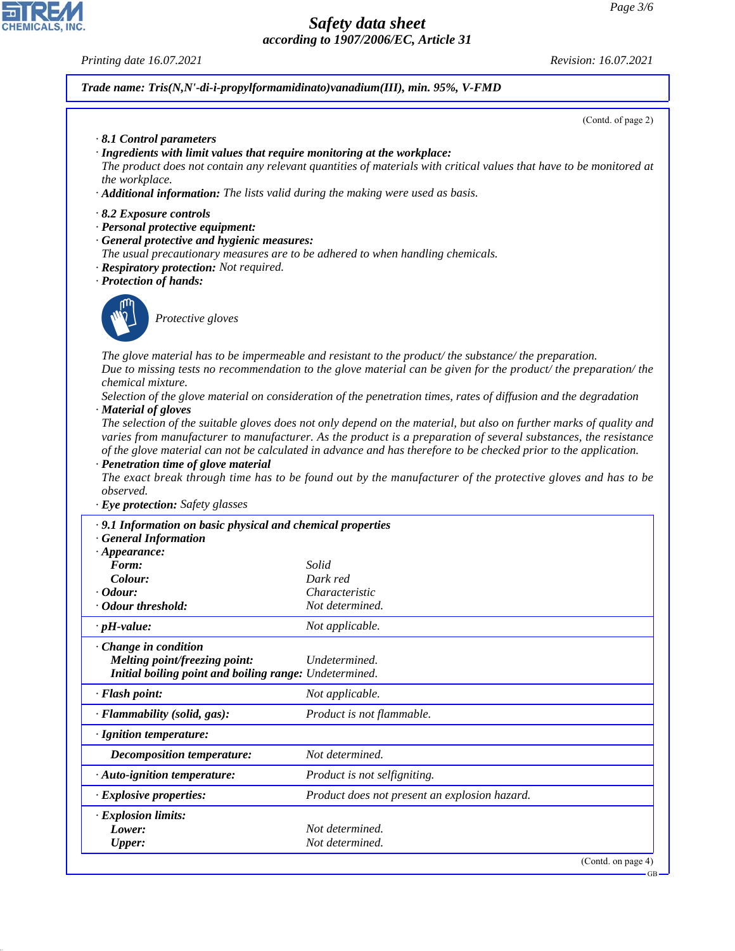#### *Printing date 16.07.2021 Revision: 16.07.2021*

*Trade name: Tris(N,N'-di-i-propylformamidinato)vanadium(III), min. 95%, V-FMD*

(Contd. of page 2)

- *· 8.1 Control parameters*
- *· Ingredients with limit values that require monitoring at the workplace:*
- *The product does not contain any relevant quantities of materials with critical values that have to be monitored at the workplace.*
- *· Additional information: The lists valid during the making were used as basis.*
- *· 8.2 Exposure controls*
- *· Personal protective equipment:*
- *· General protective and hygienic measures:*
- *The usual precautionary measures are to be adhered to when handling chemicals.*
- *· Respiratory protection: Not required.*
- *· Protection of hands:*



44.1.1

\_S*Protective gloves*

*The glove material has to be impermeable and resistant to the product/ the substance/ the preparation. Due to missing tests no recommendation to the glove material can be given for the product/ the preparation/ the chemical mixture.*

*Selection of the glove material on consideration of the penetration times, rates of diffusion and the degradation · Material of gloves*

*The selection of the suitable gloves does not only depend on the material, but also on further marks of quality and varies from manufacturer to manufacturer. As the product is a preparation of several substances, the resistance of the glove material can not be calculated in advance and has therefore to be checked prior to the application.*

*· Penetration time of glove material*

*The exact break through time has to be found out by the manufacturer of the protective gloves and has to be observed.*

*· Eye protection: Safety glasses*

| · 9.1 Information on basic physical and chemical properties<br><b>General Information</b> |                                               |  |
|-------------------------------------------------------------------------------------------|-----------------------------------------------|--|
| $\cdot$ Appearance:                                                                       |                                               |  |
| Form:                                                                                     | Solid                                         |  |
| Colour:                                                                                   | Dark red                                      |  |
| <i>Codour:</i>                                                                            | Characteristic                                |  |
| · Odour threshold:                                                                        | Not determined.                               |  |
| $\cdot$ pH-value:                                                                         | Not applicable.                               |  |
| · Change in condition                                                                     |                                               |  |
| Melting point/freezing point:                                                             | Undetermined.                                 |  |
| Initial boiling point and boiling range: Undetermined.                                    |                                               |  |
| · Flash point:                                                                            | Not applicable.                               |  |
| $\cdot$ Flammability (solid, gas):                                                        | Product is not flammable.                     |  |
| · Ignition temperature:                                                                   |                                               |  |
| Decomposition temperature:                                                                | Not determined.                               |  |
| · Auto-ignition temperature:                                                              | Product is not selfigniting.                  |  |
| · Explosive properties:                                                                   | Product does not present an explosion hazard. |  |
| $\cdot$ Explosion limits:                                                                 |                                               |  |
| Lower:                                                                                    | Not determined.                               |  |
| <b>Upper:</b>                                                                             | Not determined.                               |  |
|                                                                                           | (Contd. on page $4$ )                         |  |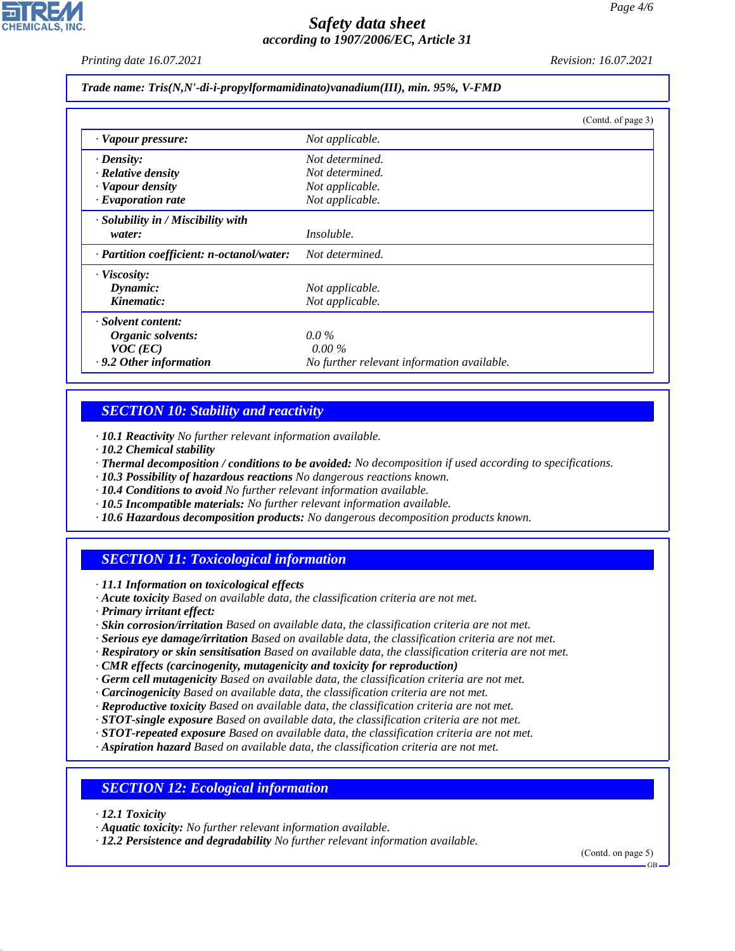*Printing date 16.07.2021 Revision: 16.07.2021*

*Trade name: Tris(N,N'-di-i-propylformamidinato)vanadium(III), min. 95%, V-FMD*

|                                           | (Contd. of page 3)                         |
|-------------------------------------------|--------------------------------------------|
| · Vapour pressure:                        | Not applicable.                            |
| $\cdot$ Density:                          | Not determined.                            |
| $\cdot$ Relative density                  | Not determined.                            |
| · Vapour density                          | Not applicable.                            |
| $\cdot$ Evaporation rate                  | Not applicable.                            |
| $\cdot$ Solubility in / Miscibility with  |                                            |
| water:                                    | <i>Insoluble.</i>                          |
| · Partition coefficient: n-octanol/water: | Not determined.                            |
| $\cdot$ Viscosity:                        |                                            |
| Dynamic:                                  | Not applicable.                            |
| Kinematic:                                | Not applicable.                            |
| · Solvent content:                        |                                            |
| Organic solvents:                         | $0.0\%$                                    |
| $VOC$ (EC)                                | $0.00\%$                                   |
| · 9.2 Other information                   | No further relevant information available. |

# *SECTION 10: Stability and reactivity*

*· 10.1 Reactivity No further relevant information available.*

- *· 10.2 Chemical stability*
- *· Thermal decomposition / conditions to be avoided: No decomposition if used according to specifications.*
- *· 10.3 Possibility of hazardous reactions No dangerous reactions known.*
- *· 10.4 Conditions to avoid No further relevant information available.*
- *· 10.5 Incompatible materials: No further relevant information available.*
- *· 10.6 Hazardous decomposition products: No dangerous decomposition products known.*

# *SECTION 11: Toxicological information*

*· 11.1 Information on toxicological effects*

*· Acute toxicity Based on available data, the classification criteria are not met.*

*· Primary irritant effect:*

- *· Skin corrosion/irritation Based on available data, the classification criteria are not met.*
- *· Serious eye damage/irritation Based on available data, the classification criteria are not met.*
- *· Respiratory or skin sensitisation Based on available data, the classification criteria are not met.*
- *· CMR effects (carcinogenity, mutagenicity and toxicity for reproduction)*
- *· Germ cell mutagenicity Based on available data, the classification criteria are not met.*
- *· Carcinogenicity Based on available data, the classification criteria are not met.*
- *· Reproductive toxicity Based on available data, the classification criteria are not met.*
- *· STOT-single exposure Based on available data, the classification criteria are not met.*
- *· STOT-repeated exposure Based on available data, the classification criteria are not met.*
- *· Aspiration hazard Based on available data, the classification criteria are not met.*

# *SECTION 12: Ecological information*

*· 12.1 Toxicity*

44.1.1

*· Aquatic toxicity: No further relevant information available.*

*· 12.2 Persistence and degradability No further relevant information available.*

(Contd. on page 5)

GB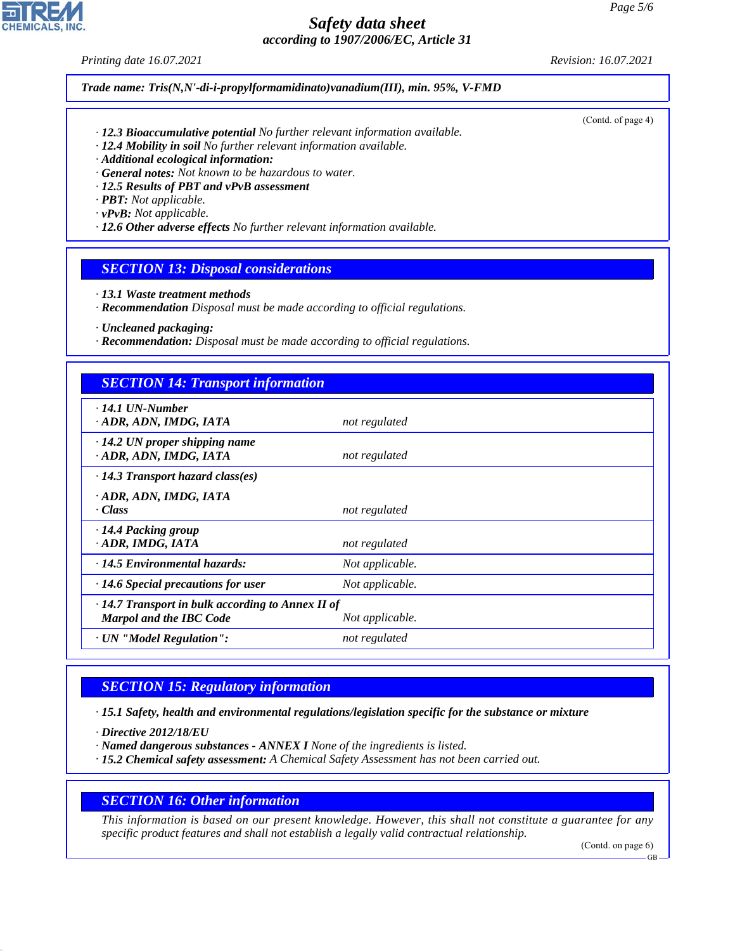*Printing date 16.07.2021 Revision: 16.07.2021*

*Trade name: Tris(N,N'-di-i-propylformamidinato)vanadium(III), min. 95%, V-FMD*

- *· 12.3 Bioaccumulative potential No further relevant information available.*
- *· 12.4 Mobility in soil No further relevant information available.*
- *· Additional ecological information:*
- *· General notes: Not known to be hazardous to water.*
- *· 12.5 Results of PBT and vPvB assessment*
- *· PBT: Not applicable.*
- *· vPvB: Not applicable.*
- *· 12.6 Other adverse effects No further relevant information available.*

# *SECTION 13: Disposal considerations*

- *· 13.1 Waste treatment methods*
- *· Recommendation Disposal must be made according to official regulations.*
- *· Uncleaned packaging:*
- *· Recommendation: Disposal must be made according to official regulations.*

## *SECTION 14: Transport information*

| $\cdot$ 14.1 UN-Number                                  |                 |  |
|---------------------------------------------------------|-----------------|--|
| · ADR, ADN, IMDG, IATA                                  | not regulated   |  |
| $\cdot$ 14.2 UN proper shipping name                    |                 |  |
|                                                         |                 |  |
| · ADR, ADN, IMDG, IATA                                  | not regulated   |  |
| $\cdot$ 14.3 Transport hazard class(es)                 |                 |  |
| · ADR, ADN, IMDG, IATA                                  |                 |  |
|                                                         |                 |  |
| · Class                                                 | not regulated   |  |
| · 14.4 Packing group                                    |                 |  |
| · ADR, IMDG, IATA                                       | not regulated   |  |
|                                                         |                 |  |
| $\cdot$ 14.5 Environmental hazards:                     | Not applicable. |  |
| $\cdot$ 14.6 Special precautions for user               | Not applicable. |  |
| $\cdot$ 14.7 Transport in bulk according to Annex II of |                 |  |
| <b>Marpol and the IBC Code</b>                          | Not applicable. |  |
|                                                         |                 |  |
| · UN "Model Regulation":                                | not regulated   |  |

# *SECTION 15: Regulatory information*

*· 15.1 Safety, health and environmental regulations/legislation specific for the substance or mixture*

*· Directive 2012/18/EU*

44.1.1

- *· Named dangerous substances ANNEX I None of the ingredients is listed.*
- *· 15.2 Chemical safety assessment: A Chemical Safety Assessment has not been carried out.*

#### *SECTION 16: Other information*

*This information is based on our present knowledge. However, this shall not constitute a guarantee for any specific product features and shall not establish a legally valid contractual relationship.*

(Contd. on page 6)

(Contd. of page 4)

GB